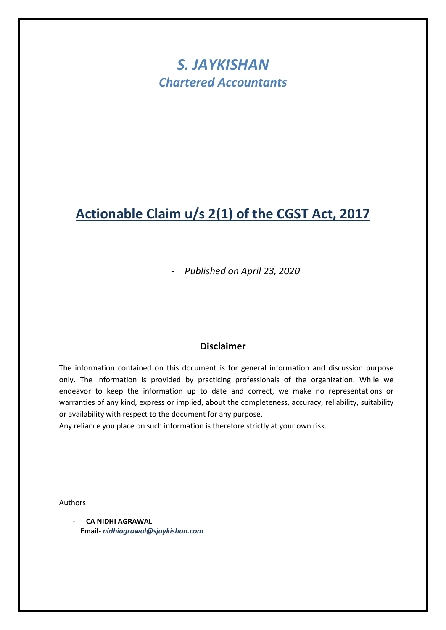# *S. JAYKISHAN Chartered Accountants*

# **Actionable Claim u/s 2(1) of the CGST Act, 2017**

- *Published on April 23, 2020*

### **Disclaimer**

The information contained on this document is for general information and discussion purpose only. The information is provided by practicing professionals of the organization. While we endeavor to keep the information up to date and correct, we make no representations or warranties of any kind, express or implied, about the completeness, accuracy, reliability, suitability or availability with respect to the document for any purpose.

Any reliance you place on such information is therefore strictly at your own risk.

Authors

- **CA NIDHI AGRAWAL Email-** *nidhiagrawal@sjaykishan.com*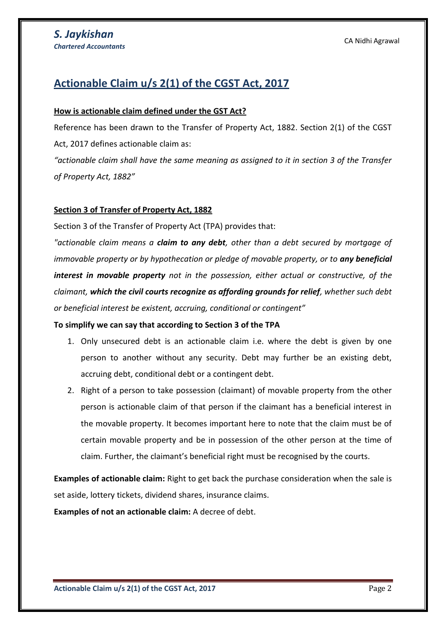## **Actionable Claim u/s 2(1) of the CGST Act, 2017**

#### **How is actionable claim defined under the GST Act?**

Reference has been drawn to the Transfer of Property Act, 1882. Section 2(1) of the CGST Act, 2017 defines actionable claim as:

*"actionable claim shall have the same meaning as assigned to it in section 3 of the Transfer of Property Act, 1882"*

#### **Section 3 of Transfer of Property Act, 1882**

Section 3 of the Transfer of Property Act (TPA) provides that:

*"actionable claim means a claim to any debt, other than a debt secured by mortgage of immovable property or by hypothecation or pledge of movable property, or to any beneficial interest in movable property not in the possession, either actual or constructive, of the claimant, which the civil courts recognize as affording grounds for relief, whether such debt or beneficial interest be existent, accruing, conditional or contingent"*

#### **To simplify we can say that according to Section 3 of the TPA**

- 1. Only unsecured debt is an actionable claim i.e. where the debt is given by one person to another without any security. Debt may further be an existing debt, accruing debt, conditional debt or a contingent debt.
- 2. Right of a person to take possession (claimant) of movable property from the other person is actionable claim of that person if the claimant has a beneficial interest in the movable property. It becomes important here to note that the claim must be of certain movable property and be in possession of the other person at the time of claim. Further, the claimant's beneficial right must be recognised by the courts.

**Examples of actionable claim:** Right to get back the purchase consideration when the sale is set aside, lottery tickets, dividend shares, insurance claims.

**Examples of not an actionable claim:** A decree of debt.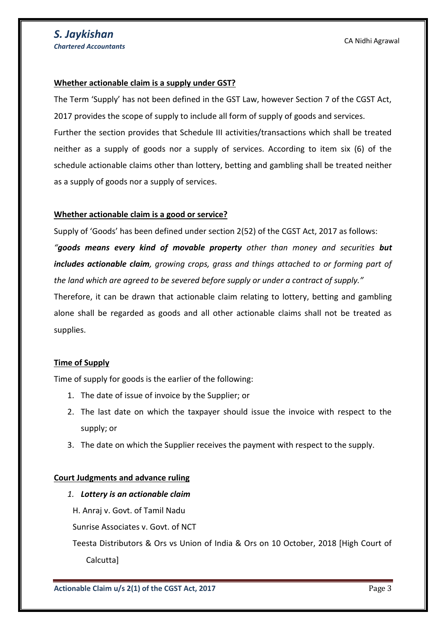#### **Whether actionable claim is a supply under GST?**

The Term 'Supply' has not been defined in the GST Law, however Section 7 of the CGST Act, 2017 provides the scope of supply to include all form of supply of goods and services. Further the section provides that Schedule III activities/transactions which shall be treated neither as a supply of goods nor a supply of services. According to item six (6) of the schedule actionable claims other than lottery, betting and gambling shall be treated neither as a supply of goods nor a supply of services.

#### **Whether actionable claim is a good or service?**

Supply of 'Goods' has been defined under section 2(52) of the CGST Act, 2017 as follows:

*"goods means every kind of movable property other than money and securities but includes actionable claim, growing crops, grass and things attached to or forming part of the land which are agreed to be severed before supply or under a contract of supply."*

Therefore, it can be drawn that actionable claim relating to lottery, betting and gambling alone shall be regarded as goods and all other actionable claims shall not be treated as supplies.

#### **Time of Supply**

Time of supply for goods is the earlier of the following:

- 1. The date of issue of invoice by the Supplier; or
- 2. The last date on which the taxpayer should issue the invoice with respect to the supply; or
- 3. The date on which the Supplier receives the payment with respect to the supply.

#### **Court Judgments and advance ruling**

*1. Lottery is an actionable claim*

H. Anraj v. Govt. of Tamil Nadu

Sunrise Associates v. Govt. of NCT

Teesta Distributors & Ors vs Union of India & Ors on 10 October, 2018 [High Court of Calcutta]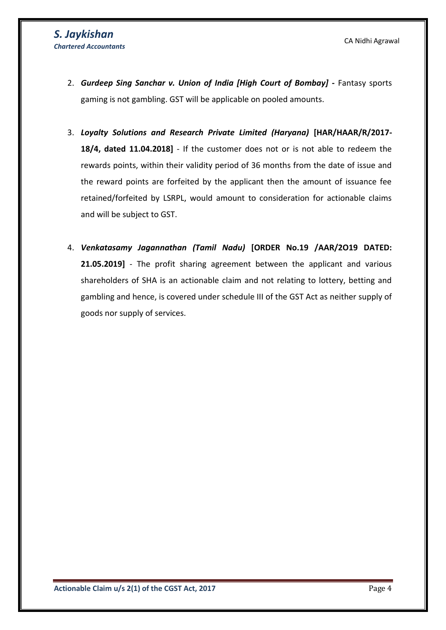- 2. *Gurdeep Sing Sanchar v. Union of India [High Court of Bombay]* **-** Fantasy sports gaming is not gambling. GST will be applicable on pooled amounts.
- 3. *Loyalty Solutions and Research Private Limited (Haryana)* **[HAR/HAAR/R/2017- 18/4, dated 11.04.2018]** - If the customer does not or is not able to redeem the rewards points, within their validity period of 36 months from the date of issue and the reward points are forfeited by the applicant then the amount of issuance fee retained/forfeited by LSRPL, would amount to consideration for actionable claims and will be subject to GST.
- 4. *Venkatasamy Jagannathan (Tamil Nadu)* **[ORDER No.19 /AAR/2O19 DATED: 21.05.2019]** - The profit sharing agreement between the applicant and various shareholders of SHA is an actionable claim and not relating to lottery, betting and gambling and hence, is covered under schedule III of the GST Act as neither supply of goods nor supply of services.